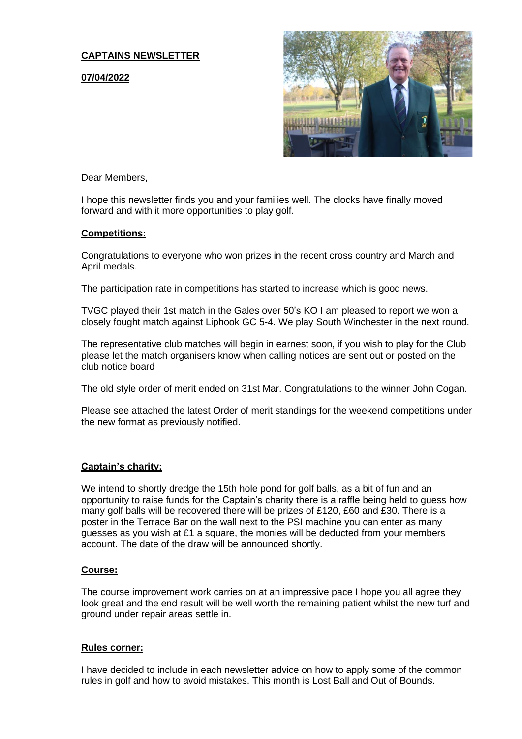## **CAPTAINS NEWSLETTER**

**07/04/2022**



Dear Members,

I hope this newsletter finds you and your families well. The clocks have finally moved forward and with it more opportunities to play golf.

### **Competitions:**

Congratulations to everyone who won prizes in the recent cross country and March and April medals.

The participation rate in competitions has started to increase which is good news.

TVGC played their 1st match in the Gales over 50's KO I am pleased to report we won a closely fought match against Liphook GC 5-4. We play South Winchester in the next round.

The representative club matches will begin in earnest soon, if you wish to play for the Club please let the match organisers know when calling notices are sent out or posted on the club notice board

The old style order of merit ended on 31st Mar. Congratulations to the winner John Cogan.

Please see attached the latest Order of merit standings for the weekend competitions under the new format as previously notified.

#### **Captain's charity:**

We intend to shortly dredge the 15th hole pond for golf balls, as a bit of fun and an opportunity to raise funds for the Captain's charity there is a raffle being held to guess how many golf balls will be recovered there will be prizes of £120, £60 and £30. There is a poster in the Terrace Bar on the wall next to the PSI machine you can enter as many guesses as you wish at £1 a square, the monies will be deducted from your members account. The date of the draw will be announced shortly.

### **Course:**

The course improvement work carries on at an impressive pace I hope you all agree they look great and the end result will be well worth the remaining patient whilst the new turf and ground under repair areas settle in.

#### **Rules corner:**

I have decided to include in each newsletter advice on how to apply some of the common rules in golf and how to avoid mistakes. This month is Lost Ball and Out of Bounds.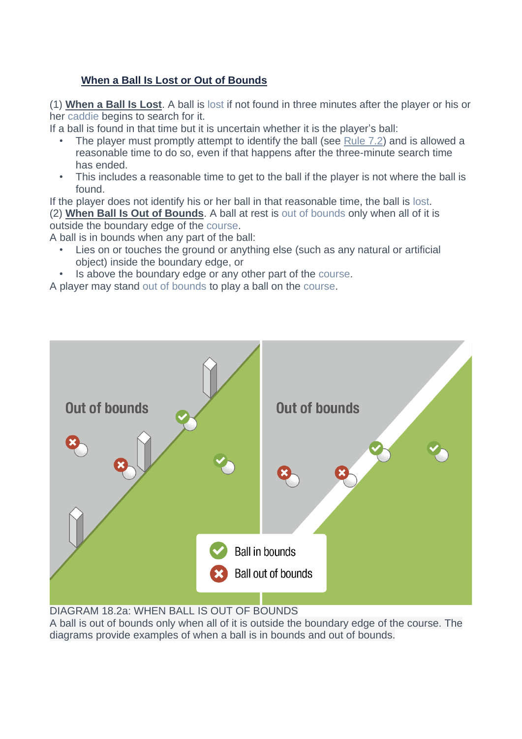# **When a Ball Is Lost or Out of Bounds**

(1) **When a Ball Is Lost**. A ball is lost if not found in three minutes after the player or his or her caddie begins to search for it.

If a ball is found in that time but it is uncertain whether it is the player's ball:

- The player must promptly attempt to identify the ball (see [Rule](https://www.randa.org/en/rog/2019/rules/the-rules-of-golf/rule-7#7-2) 7.2) and is allowed a reasonable time to do so, even if that happens after the three-minute search time has ended.
- This includes a reasonable time to get to the ball if the player is not where the ball is found.

If the player does not identify his or her ball in that reasonable time, the ball is lost. (2) **When Ball Is Out of Bounds**. A ball at rest is out of bounds only when all of it is outside the boundary edge of the course.

A ball is in bounds when any part of the ball:

- Lies on or touches the ground or anything else (such as any natural or artificial object) inside the boundary edge, or
- Is above the boundary edge or any other part of the course.

A player may stand out of bounds to play a ball on the course.



DIAGRAM 18.2a: WHEN BALL IS OUT OF BOUNDS

A ball is out of bounds only when all of it is outside the boundary edge of the course. The diagrams provide examples of when a ball is in bounds and out of bounds.